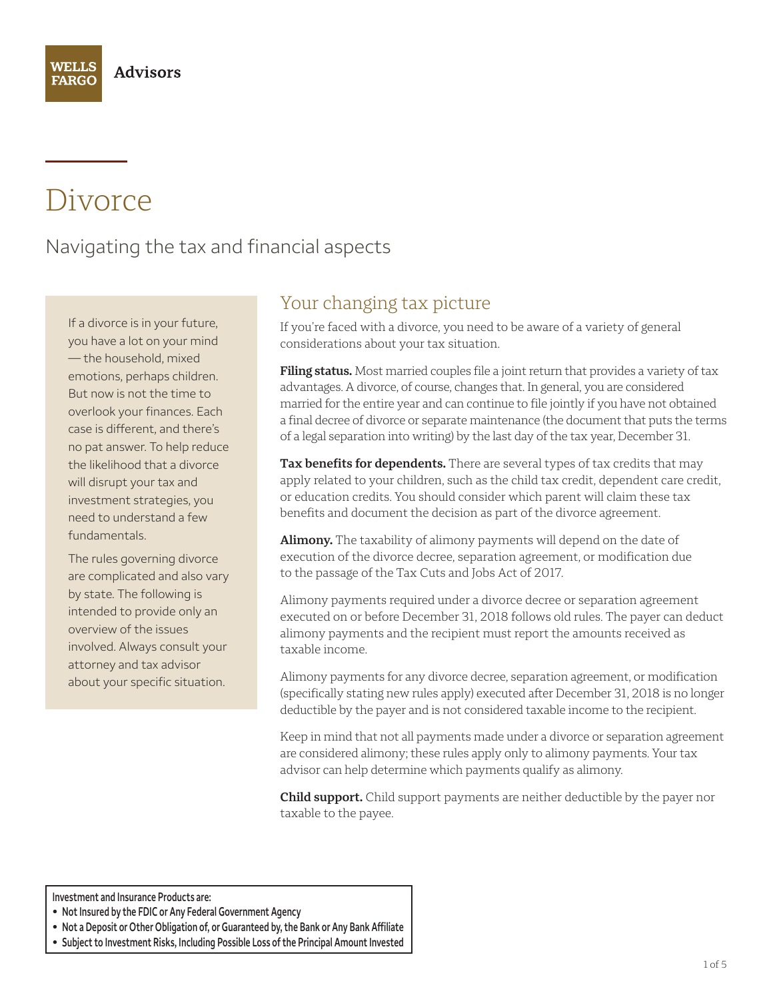# Divorce

Navigating the tax and financial aspects

If a divorce is in your future, you have a lot on your mind — the household, mixed emotions, perhaps children. But now is not the time to overlook your finances. Each case is different, and there's no pat answer. To help reduce the likelihood that a divorce will disrupt your tax and investment strategies, you need to understand a few fundamentals.

The rules governing divorce are complicated and also vary by state. The following is intended to provide only an overview of the issues involved. Always consult your attorney and tax advisor about your specific situation.

# Your changing tax picture

If you're faced with a divorce, you need to be aware of a variety of general considerations about your tax situation.

**Filing status.** Most married couples file a joint return that provides a variety of tax advantages. A divorce, of course, changes that. In general, you are considered married for the entire year and can continue to file jointly if you have not obtained a final decree of divorce or separate maintenance (the document that puts the terms of a legal separation into writing) by the last day of the tax year, December 31.

**Tax benefits for dependents.** There are several types of tax credits that may apply related to your children, such as the child tax credit, dependent care credit, or education credits. You should consider which parent will claim these tax benefits and document the decision as part of the divorce agreement.

**Alimony.** The taxability of alimony payments will depend on the date of execution of the divorce decree, separation agreement, or modification due to the passage of the Tax Cuts and Jobs Act of 2017.

Alimony payments required under a divorce decree or separation agreement executed on or before December 31, 2018 follows old rules. The payer can deduct alimony payments and the recipient must report the amounts received as taxable income.

Alimony payments for any divorce decree, separation agreement, or modification (specifically stating new rules apply) executed after December 31, 2018 is no longer deductible by the payer and is not considered taxable income to the recipient.

Keep in mind that not all payments made under a divorce or separation agreement are considered alimony; these rules apply only to alimony payments. Your tax advisor can help determine which payments qualify as alimony.

**Child support.** Child support payments are neither deductible by the payer nor taxable to the payee.

**Investment and Insurance Products are:** 

- **Not Insured by the FDIC or Any Federal Government Agency**
- **Not a Deposit or Other Obligation of, or Guaranteed by, the Bank or Any Bank Affiliate**
- **Subject to Investment Risks, Including Possible Loss of the Principal Amount Invested**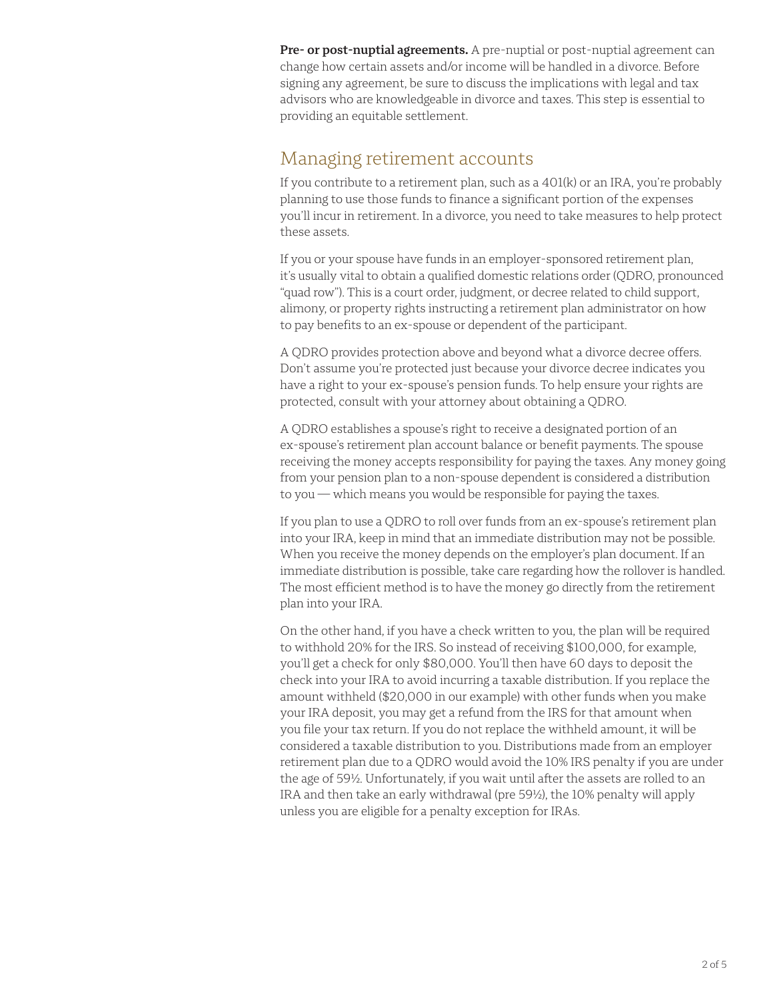**Pre- or post-nuptial agreements.** A pre-nuptial or post-nuptial agreement can change how certain assets and/or income will be handled in a divorce. Before signing any agreement, be sure to discuss the implications with legal and tax advisors who are knowledgeable in divorce and taxes. This step is essential to providing an equitable settlement.

### Managing retirement accounts

If you contribute to a retirement plan, such as a 401(k) or an IRA, you're probably planning to use those funds to finance a significant portion of the expenses you'll incur in retirement. In a divorce, you need to take measures to help protect these assets.

If you or your spouse have funds in an employer-sponsored retirement plan, it's usually vital to obtain a qualified domestic relations order (QDRO, pronounced "quad row"). This is a court order, judgment, or decree related to child support, alimony, or property rights instructing a retirement plan administrator on how to pay benefits to an ex-spouse or dependent of the participant.

A QDRO provides protection above and beyond what a divorce decree offers. Don't assume you're protected just because your divorce decree indicates you have a right to your ex-spouse's pension funds. To help ensure your rights are protected, consult with your attorney about obtaining a QDRO.

A QDRO establishes a spouse's right to receive a designated portion of an ex-spouse's retirement plan account balance or benefit payments. The spouse receiving the money accepts responsibility for paying the taxes. Any money going from your pension plan to a non-spouse dependent is considered a distribution to you — which means you would be responsible for paying the taxes.

If you plan to use a QDRO to roll over funds from an ex-spouse's retirement plan into your IRA, keep in mind that an immediate distribution may not be possible. When you receive the money depends on the employer's plan document. If an immediate distribution is possible, take care regarding how the rollover is handled. The most efficient method is to have the money go directly from the retirement plan into your IRA.

On the other hand, if you have a check written to you, the plan will be required to withhold 20% for the IRS. So instead of receiving \$100,000, for example, you'll get a check for only \$80,000. You'll then have 60 days to deposit the check into your IRA to avoid incurring a taxable distribution. If you replace the amount withheld (\$20,000 in our example) with other funds when you make your IRA deposit, you may get a refund from the IRS for that amount when you file your tax return. If you do not replace the withheld amount, it will be considered a taxable distribution to you. Distributions made from an employer retirement plan due to a QDRO would avoid the 10% IRS penalty if you are under the age of 59½. Unfortunately, if you wait until after the assets are rolled to an IRA and then take an early withdrawal (pre 59½), the 10% penalty will apply unless you are eligible for a penalty exception for IRAs.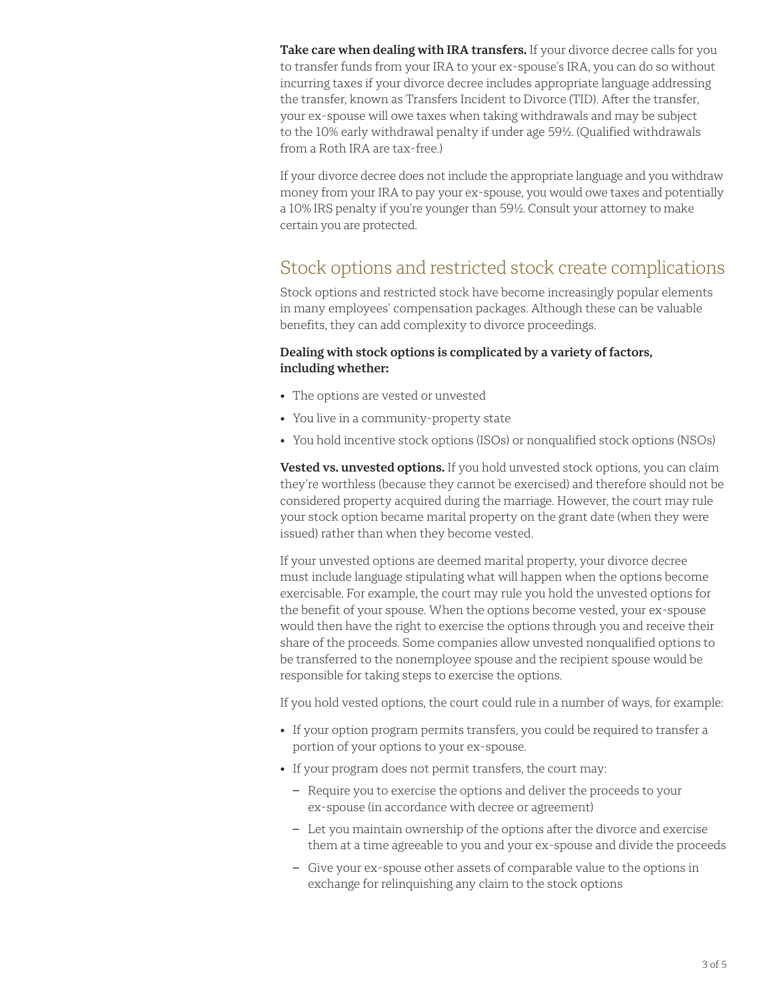**Take care when dealing with IRA transfers.** If your divorce decree calls for you to transfer funds from your IRA to your ex-spouse's IRA, you can do so without incurring taxes if your divorce decree includes appropriate language addressing the transfer, known as Transfers Incident to Divorce (TID). After the transfer, your ex-spouse will owe taxes when taking withdrawals and may be subject to the 10% early withdrawal penalty if under age 59½. (Qualified withdrawals from a Roth IRA are tax-free.)

If your divorce decree does not include the appropriate language and you withdraw money from your IRA to pay your ex-spouse, you would owe taxes and potentially a 10% IRS penalty if you're younger than 59½. Consult your attorney to make certain you are protected.

# Stock options and restricted stock create complications

Stock options and restricted stock have become increasingly popular elements in many employees' compensation packages. Although these can be valuable benefits, they can add complexity to divorce proceedings.

#### **Dealing with stock options is complicated by a variety of factors, including whether:**

- The options are vested or unvested
- You live in a community-property state
- You hold incentive stock options (ISOs) or nonqualified stock options (NSOs)

**Vested vs. unvested options.** If you hold unvested stock options, you can claim they're worthless (because they cannot be exercised) and therefore should not be considered property acquired during the marriage. However, the court may rule your stock option became marital property on the grant date (when they were issued) rather than when they become vested.

If your unvested options are deemed marital property, your divorce decree must include language stipulating what will happen when the options become exercisable. For example, the court may rule you hold the unvested options for the benefit of your spouse. When the options become vested, your ex-spouse would then have the right to exercise the options through you and receive their share of the proceeds. Some companies allow unvested nonqualified options to be transferred to the nonemployee spouse and the recipient spouse would be responsible for taking steps to exercise the options.

If you hold vested options, the court could rule in a number of ways, for example:

- If your option program permits transfers, you could be required to transfer a portion of your options to your ex-spouse.
- If your program does not permit transfers, the court may:
	- Require you to exercise the options and deliver the proceeds to your ex-spouse (in accordance with decree or agreement)
	- Let you maintain ownership of the options after the divorce and exercise them at a time agreeable to you and your ex-spouse and divide the proceeds
	- Give your ex-spouse other assets of comparable value to the options in exchange for relinquishing any claim to the stock options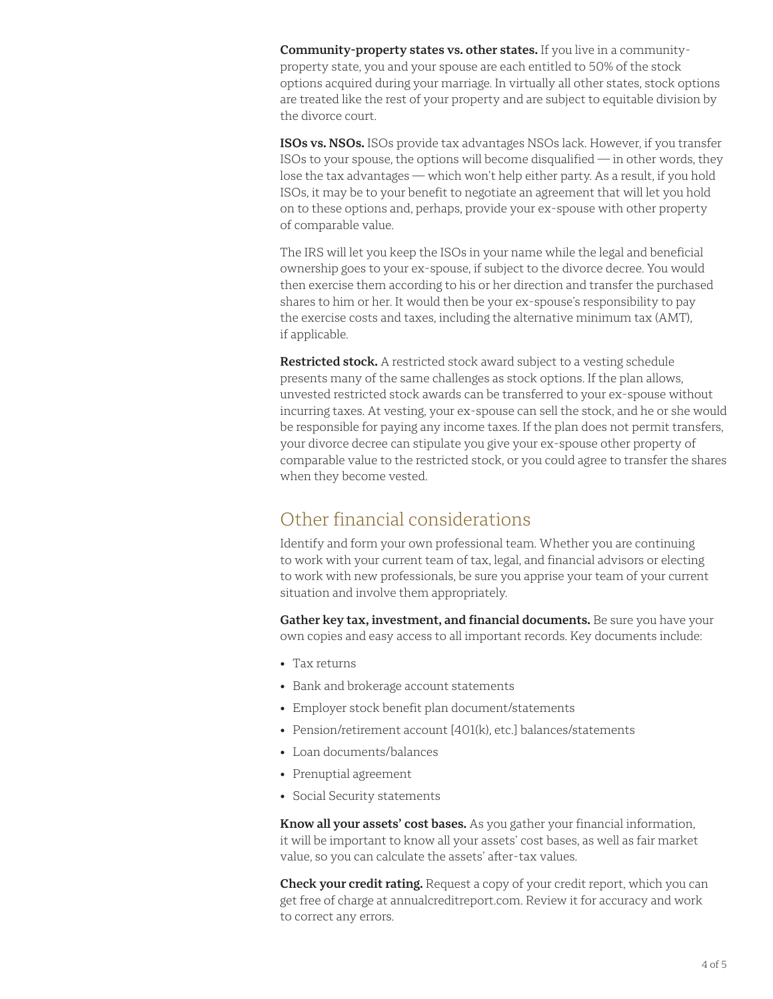**Community-property states vs. other states.** If you live in a communityproperty state, you and your spouse are each entitled to 50% of the stock options acquired during your marriage. In virtually all other states, stock options are treated like the rest of your property and are subject to equitable division by the divorce court.

**ISOs vs. NSOs.** ISOs provide tax advantages NSOs lack. However, if you transfer ISOs to your spouse, the options will become disqualified — in other words, they lose the tax advantages — which won't help either party. As a result, if you hold ISOs, it may be to your benefit to negotiate an agreement that will let you hold on to these options and, perhaps, provide your ex-spouse with other property of comparable value.

The IRS will let you keep the ISOs in your name while the legal and beneficial ownership goes to your ex-spouse, if subject to the divorce decree. You would then exercise them according to his or her direction and transfer the purchased shares to him or her. It would then be your ex-spouse's responsibility to pay the exercise costs and taxes, including the alternative minimum tax (AMT), if applicable.

**Restricted stock.** A restricted stock award subject to a vesting schedule presents many of the same challenges as stock options. If the plan allows, unvested restricted stock awards can be transferred to your ex-spouse without incurring taxes. At vesting, your ex-spouse can sell the stock, and he or she would be responsible for paying any income taxes. If the plan does not permit transfers, your divorce decree can stipulate you give your ex-spouse other property of comparable value to the restricted stock, or you could agree to transfer the shares when they become vested.

# Other financial considerations

Identify and form your own professional team. Whether you are continuing to work with your current team of tax, legal, and financial advisors or electing to work with new professionals, be sure you apprise your team of your current situation and involve them appropriately.

**Gather key tax, investment, and financial documents.** Be sure you have your own copies and easy access to all important records. Key documents include:

- Tax returns
- Bank and brokerage account statements
- Employer stock benefit plan document/statements
- Pension/retirement account [401(k), etc.] balances/statements
- Loan documents/balances
- Prenuptial agreement
- Social Security statements

**Know all your assets' cost bases.** As you gather your financial information, it will be important to know all your assets' cost bases, as well as fair market value, so you can calculate the assets' after-tax values.

**Check your credit rating.** Request a copy of your credit report, which you can get free of charge at annualcreditreport.com. Review it for accuracy and work to correct any errors.